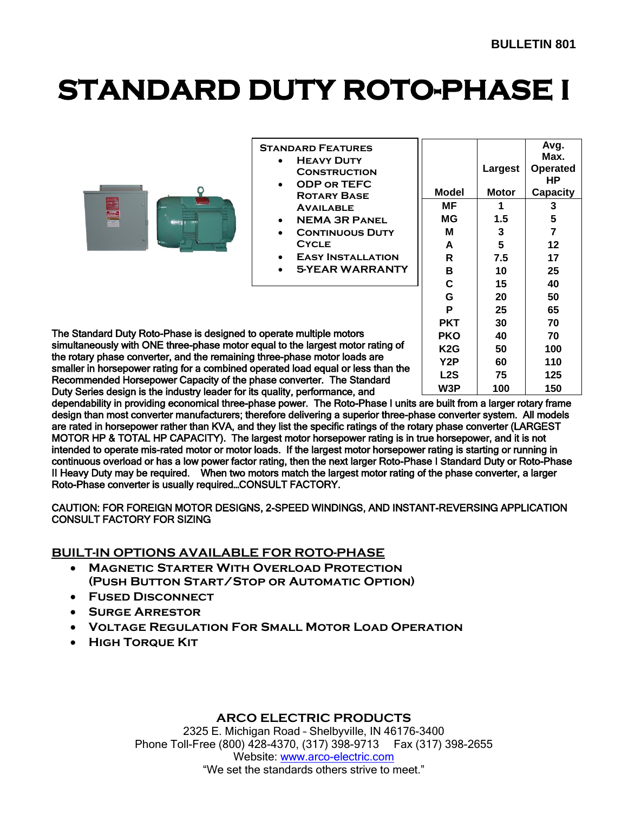# **STANDARD DUTY ROTO-PHASE I**

|                                                                                                                                                          | <b>STANDARD FEATURES</b><br><b>HEAVY DUTY</b><br><b>CONSTRUCTION</b><br>ODP OR TEFC<br><b>ROTARY BASE</b><br><b>AVAILABLE</b><br><b>NEMA 3R PANEL</b><br><b>CONTINUOUS DUTY</b><br><b>CYCLE</b><br><b>EASY INSTALLATION</b><br><b>5-YEAR WARRANTY</b> | Model<br>ΜF<br>ΜG<br>м<br>A<br>R<br>в<br>C | Largest<br><b>Motor</b><br>1.5<br>5<br>7.5<br>10<br>15 | Avg.<br>Max.<br><b>Operated</b><br><b>HP</b><br><b>Capacity</b><br>3<br>5<br>12<br>17<br>25<br>40 |  |
|----------------------------------------------------------------------------------------------------------------------------------------------------------|-------------------------------------------------------------------------------------------------------------------------------------------------------------------------------------------------------------------------------------------------------|--------------------------------------------|--------------------------------------------------------|---------------------------------------------------------------------------------------------------|--|
|                                                                                                                                                          |                                                                                                                                                                                                                                                       | G                                          | 20                                                     | 50                                                                                                |  |
|                                                                                                                                                          |                                                                                                                                                                                                                                                       | P<br><b>PKT</b>                            | 25<br>30                                               | 65<br>70                                                                                          |  |
| The Standard Duty Roto-Phase is designed to operate multiple motors                                                                                      |                                                                                                                                                                                                                                                       |                                            | 40                                                     | 70                                                                                                |  |
| simultaneously with ONE three-phase motor equal to the largest motor rating of                                                                           |                                                                                                                                                                                                                                                       |                                            | 50                                                     | 100                                                                                               |  |
| the rotary phase converter, and the remaining three-phase motor loads are                                                                                | K <sub>2</sub> G<br>Y2P                                                                                                                                                                                                                               | 60                                         | 110                                                    |                                                                                                   |  |
| smaller in horsepower rating for a combined operated load equal or less than the<br>Recommended Horsepower Capacity of the phase converter. The Standard | L <sub>2</sub> S                                                                                                                                                                                                                                      | 75                                         | 125                                                    |                                                                                                   |  |

Recommended Horsepower Capacity of the phase converter. The Standard Duty Series design is the industry leader for its quality, performance, and dependability in providing economical three-phase power. The Roto-Phase I units are built from a larger rotary frame design than most converter manufacturers; therefore delivering a superior three-phase converter system. All models are rated in horsepower rather than KVA, and they list the specific ratings of the rotary phase converter (LARGEST MOTOR HP & TOTAL HP CAPACITY). The largest motor horsepower rating is in true horsepower, and it is not intended to operate mis-rated motor or motor loads. If the largest motor horsepower rating is starting or running in continuous overload or has a low power factor rating, then the next larger Roto-Phase I Standard Duty or Roto-Phase II Heavy Duty may be required. When two motors match the largest motor rating of the phase converter, a larger **W3P 100 150**

CAUTION: FOR FOREIGN MOTOR DESIGNS, 2-SPEED WINDINGS, AND INSTANT-REVERSING APPLICATION CONSULT FACTORY FOR SIZING

## **BUILT-IN OPTIONS AVAILABLE FOR ROTO-PHASE**

Roto-Phase converter is usually required…CONSULT FACTORY.

- **Magnetic Starter With Overload Protection (Push Button Start/Stop or Automatic Option)**
- **Fused Disconnect**
- **Surge Arrestor**
- **Voltage Regulation For Small Motor Load Operation**
- **High Torque Kit**

## **ARCO ELECTRIC PRODUCTS**

2325 E. Michigan Road – Shelbyville, IN 46176-3400 Phone Toll-Free (800) 428-4370, (317) 398-9713 Fax (317) 398-2655 Website: www.arco-electric.com "We set the standards others strive to meet."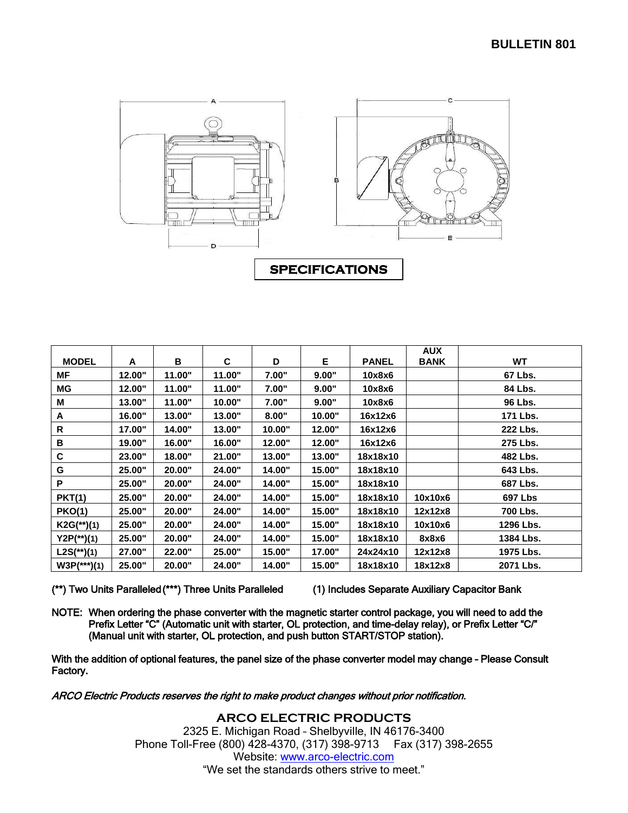

|               |        |        |        |        |        |              | <b>AUX</b>  |                |
|---------------|--------|--------|--------|--------|--------|--------------|-------------|----------------|
| <b>MODEL</b>  | A      | в      | C      | D      | Е      | <b>PANEL</b> | <b>BANK</b> | <b>WT</b>      |
| МF            | 12.00" | 11.00" | 11.00" | 7.00"  | 9.00"  | 10x8x6       |             | 67 Lbs.        |
| <b>MG</b>     | 12.00" | 11.00" | 11.00" | 7.00"  | 9.00"  | 10x8x6       |             | 84 Lbs.        |
| M             | 13.00" | 11.00" | 10.00" | 7.00"  | 9.00"  | 10x8x6       |             | 96 Lbs.        |
| A             | 16.00" | 13.00" | 13.00" | 8.00"  | 10.00" | 16x12x6      |             | 171 Lbs.       |
| R             | 17.00" | 14.00" | 13.00" | 10.00" | 12.00" | 16x12x6      |             | 222 Lbs.       |
| B             | 19.00" | 16.00" | 16.00" | 12.00" | 12.00" | 16x12x6      |             | 275 Lbs.       |
| С             | 23.00" | 18.00" | 21.00" | 13.00" | 13.00" | 18x18x10     |             | 482 Lbs.       |
| G             | 25.00" | 20.00" | 24.00" | 14.00" | 15.00" | 18x18x10     |             | 643 Lbs.       |
| P             | 25.00" | 20.00" | 24.00" | 14.00" | 15.00" | 18x18x10     |             | 687 Lbs.       |
| <b>PKT(1)</b> | 25.00" | 20.00" | 24.00" | 14.00" | 15.00" | 18x18x10     | 10x10x6     | <b>697 Lbs</b> |
| <b>PKO(1)</b> | 25.00" | 20.00" | 24.00" | 14.00" | 15.00" | 18x18x10     | 12x12x8     | 700 Lbs.       |
| $K2G(**)$ (1) | 25.00" | 20.00" | 24.00" | 14.00" | 15.00" | 18x18x10     | 10x10x6     | 1296 Lbs.      |
| $Y2P(**)$ (1) | 25.00" | 20.00" | 24.00" | 14.00" | 15.00" | 18x18x10     | 8x8x6       | 1384 Lbs.      |
| $L2S(*)(1)$   | 27.00" | 22.00" | 25.00" | 15.00" | 17.00" | 24x24x10     | 12x12x8     | 1975 Lbs.      |
| $W3P(**)$ (1) | 25.00" | 20.00" | 24.00" | 14.00" | 15.00" | 18x18x10     | 18x12x8     | 2071 Lbs.      |

(\*\*) Two Units Paralleled (\*\*\*) Three Units Paralleled (1) Includes Separate Auxiliary Capacitor Bank

NOTE: When ordering the phase converter with the magnetic starter control package, you will need to add the Prefix Letter "C" (Automatic unit with starter, OL protection, and time-delay relay), or Prefix Letter "C/" (Manual unit with starter, OL protection, and push button START/STOP station).

With the addition of optional features, the panel size of the phase converter model may change – Please Consult Factory.

ARCO Electric Products reserves the right to make product changes without prior notification.

**ARCO ELECTRIC PRODUCTS** 2325 E. Michigan Road – Shelbyville, IN 46176-3400 Phone Toll-Free (800) 428-4370, (317) 398-9713 Fax (317) 398-2655 Website: www.arco-electric.com "We set the standards others strive to meet."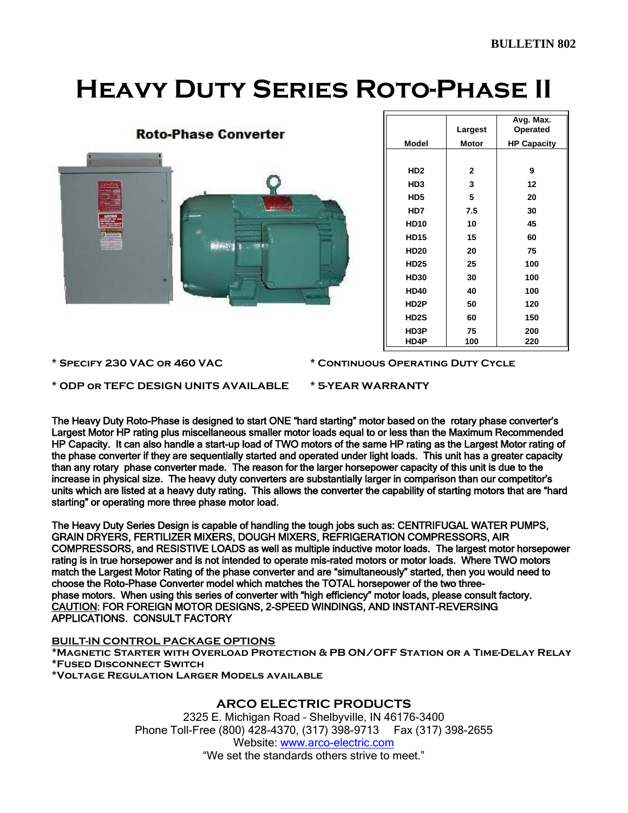# **Heavy Duty Series Roto-Phase II**

| <b>Roto-Phase Converter</b> |  |
|-----------------------------|--|
|                             |  |
|                             |  |
| é                           |  |
|                             |  |
|                             |  |
| ×                           |  |
|                             |  |
|                             |  |

|                 | Largest      | Avg. Max.<br>Operated |
|-----------------|--------------|-----------------------|
| Model           | Motor        | <b>HP Capacity</b>    |
|                 |              |                       |
| HD <sub>2</sub> | $\mathbf{2}$ | 9                     |
| HD3             | 3            | 12                    |
| HD5             | 5            | 20                    |
| HD7             | 7.5          | 30                    |
| <b>HD10</b>     | 10           | 45                    |
| <b>HD15</b>     | 15           | 60                    |
| <b>HD20</b>     | 20           | 75                    |
| <b>HD25</b>     | 25           | 100                   |
| <b>HD30</b>     | 30           | 100                   |
| <b>HD40</b>     | 40           | 100                   |
| HD2P            | 50           | 120                   |
| <b>HD2S</b>     | 60           | 150                   |
| HD3P            | 75           | 200                   |
| <b>HD4P</b>     | 100          | 220                   |

**\* Specify 230 VAC or 460 VAC \* Continuous Operating Duty Cycle**

**\* ODP or TEFC DESIGN UNITS AVAILABLE \* 5-YEAR WARRANTY**

The Heavy Duty Roto-Phase is designed to start ONE "hard starting" motor based on the rotary phase converter's Largest Motor HP rating plus miscellaneous smaller motor loads equal to or less than the Maximum Recommended HP Capacity. It can also handle a start-up load of TWO motors of the same HP rating as the Largest Motor rating of the phase converter if they are sequentially started and operated under light loads. This unit has a greater capacity than any rotary phase converter made. The reason for the larger horsepower capacity of this unit is due to the increase in physical size. The heavy duty converters are substantially larger in comparison than our competitor's units which are listed at a heavy duty rating. This allows the converter the capability of starting motors that are "hard starting" or operating more three phase motor load.

The Heavy Duty Series Design is capable of handling the tough jobs such as: CENTRIFUGAL WATER PUMPS, GRAIN DRYERS, FERTILIZER MIXERS, DOUGH MIXERS, REFRIGERATION COMPRESSORS, AIR COMPRESSORS, and RESISTIVE LOADS as well as multiple inductive motor loads. The largest motor horsepower rating is in true horsepower and is not intended to operate mis-rated motors or motor loads. Where TWO motors match the Largest Motor Rating of the phase converter and are "simultaneously" started, then you would need to choose the Roto-Phase Converter model which matches the TOTAL horsepower of the two threephase motors. When using this series of converter with "high efficiency" motor loads, please consult factory. CAUTION: FOR FOREIGN MOTOR DESIGNS, 2-SPEED WINDINGS, AND INSTANT-REVERSING APPLICATIONS. CONSULT FACTORY

#### **BUILT-IN CONTROL PACKAGE OPTIONS**

**\*Magnetic Starter with Overload Protection & PB ON/OFF Station or a Time-Delay Relay \*Fused Disconnect Switch \*Voltage Regulation Larger Models available**

### **ARCO ELECTRIC PRODUCTS**

2325 E. Michigan Road – Shelbyville, IN 46176-3400 Phone Toll-Free (800) 428-4370, (317) 398-9713 Fax (317) 398-2655 Website: www.arco-electric.com "We set the standards others strive to meet."